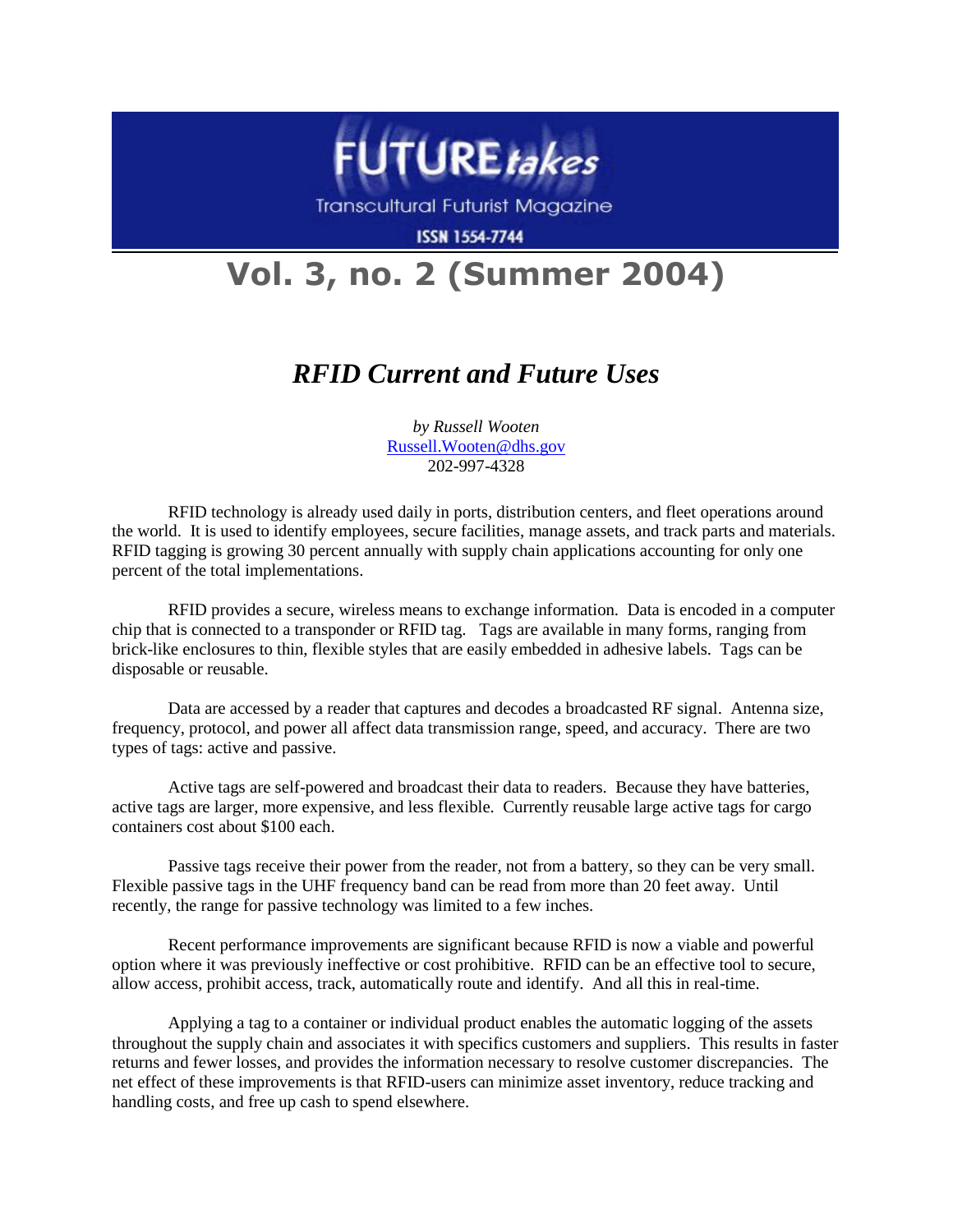

Transcultural Futurist Magazine

**ISSN 1554-7744** 

## **Vol. 3, no. 2 (Summer 2004)**

## *RFID Current and Future Uses*

*by Russell Wooten* Russell.Wooten@dhs.gov 202-997-4328

RFID technology is already used daily in ports, distribution centers, and fleet operations around the world. It is used to identify employees, secure facilities, manage assets, and track parts and materials. RFID tagging is growing 30 percent annually with supply chain applications accounting for only one percent of the total implementations.

RFID provides a secure, wireless means to exchange information. Data is encoded in a computer chip that is connected to a transponder or RFID tag. Tags are available in many forms, ranging from brick-like enclosures to thin, flexible styles that are easily embedded in adhesive labels. Tags can be disposable or reusable.

Data are accessed by a reader that captures and decodes a broadcasted RF signal. Antenna size, frequency, protocol, and power all affect data transmission range, speed, and accuracy. There are two types of tags: active and passive.

Active tags are self-powered and broadcast their data to readers. Because they have batteries, active tags are larger, more expensive, and less flexible. Currently reusable large active tags for cargo containers cost about \$100 each.

Passive tags receive their power from the reader, not from a battery, so they can be very small. Flexible passive tags in the UHF frequency band can be read from more than 20 feet away. Until recently, the range for passive technology was limited to a few inches.

Recent performance improvements are significant because RFID is now a viable and powerful option where it was previously ineffective or cost prohibitive. RFID can be an effective tool to secure, allow access, prohibit access, track, automatically route and identify. And all this in real-time.

Applying a tag to a container or individual product enables the automatic logging of the assets throughout the supply chain and associates it with specifics customers and suppliers. This results in faster returns and fewer losses, and provides the information necessary to resolve customer discrepancies. The net effect of these improvements is that RFID-users can minimize asset inventory, reduce tracking and handling costs, and free up cash to spend elsewhere.